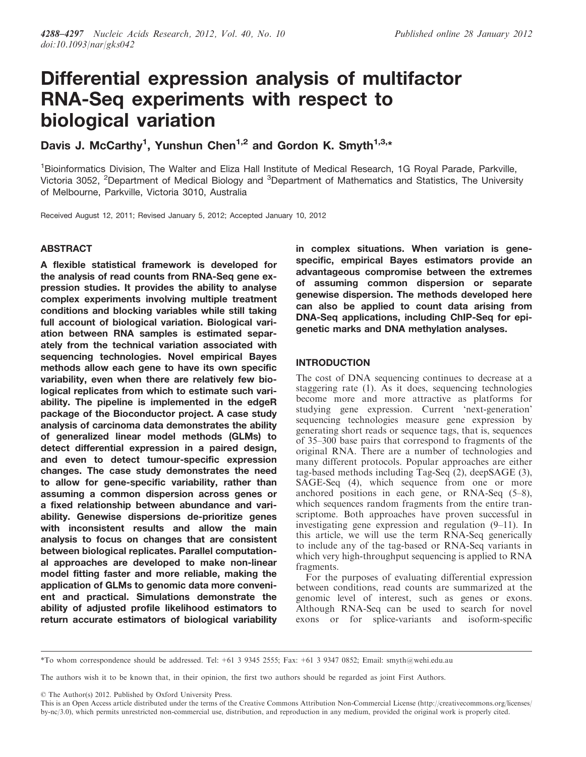# Differential expression analysis of multifactor RNA-Seq experiments with respect to biological variation

Davis J. McCarthy<sup>1</sup>, Yunshun Chen<sup>1,2</sup> and Gordon K. Smyth<sup>1,3,\*</sup>

<sup>1</sup>Bioinformatics Division, The Walter and Eliza Hall Institute of Medical Research, 1G Royal Parade, Parkville, Victoria 3052, <sup>2</sup>Department of Medical Biology and <sup>3</sup>Department of Mathematics and Statistics, The University of Melbourne, Parkville, Victoria 3010, Australia

Received August 12, 2011; Revised January 5, 2012; Accepted January 10, 2012

# ABSTRACT

A flexible statistical framework is developed for the analysis of read counts from RNA-Seq gene expression studies. It provides the ability to analyse complex experiments involving multiple treatment conditions and blocking variables while still taking full account of biological variation. Biological variation between RNA samples is estimated separately from the technical variation associated with sequencing technologies. Novel empirical Bayes methods allow each gene to have its own specific variability, even when there are relatively few biological replicates from which to estimate such variability. The pipeline is implemented in the edgeR package of the Bioconductor project. A case study analysis of carcinoma data demonstrates the ability of generalized linear model methods (GLMs) to detect differential expression in a paired design, and even to detect tumour-specific expression changes. The case study demonstrates the need to allow for gene-specific variability, rather than assuming a common dispersion across genes or a fixed relationship between abundance and variability. Genewise dispersions de-prioritize genes with inconsistent results and allow the main analysis to focus on changes that are consistent between biological replicates. Parallel computational approaches are developed to make non-linear model fitting faster and more reliable, making the application of GLMs to genomic data more convenient and practical. Simulations demonstrate the ability of adjusted profile likelihood estimators to return accurate estimators of biological variability in complex situations. When variation is genespecific, empirical Bayes estimators provide an advantageous compromise between the extremes of assuming common dispersion or separate genewise dispersion. The methods developed here can also be applied to count data arising from DNA-Seq applications, including ChIP-Seq for epigenetic marks and DNA methylation analyses.

## INTRODUCTION

The cost of DNA sequencing continues to decrease at a staggering rate ([1](#page-8-0)). As it does, sequencing technologies become more and more attractive as platforms for studying gene expression. Current 'next-generation' sequencing technologies measure gene expression by generating short reads or sequence tags, that is, sequences of 35–300 base pairs that correspond to fragments of the original RNA. There are a number of technologies and many different protocols. Popular approaches are either tag-based methods including Tag-Seq [\(2](#page-8-0)), deepSAGE [\(3](#page-8-0)), SAGE-Seq [\(4](#page-8-0)), which sequence from one or more anchored positions in each gene, or RNA-Seq ([5–8](#page-8-0)), which sequences random fragments from the entire transcriptome. Both approaches have proven successful in investigating gene expression and regulation ([9–11\)](#page-8-0). In this article, we will use the term RNA-Seq generically to include any of the tag-based or RNA-Seq variants in which very high-throughput sequencing is applied to RNA fragments.

For the purposes of evaluating differential expression between conditions, read counts are summarized at the genomic level of interest, such as genes or exons. Although RNA-Seq can be used to search for novel exons or for splice-variants and isoform-specific

© The Author(s) 2012. Published by Oxford University Press.

<sup>\*</sup>To whom correspondence should be addressed. Tel: +61 3 9345 2555; Fax: +61 3 9347 0852; Email: smyth@wehi.edu.au

The authors wish it to be known that, in their opinion, the first two authors should be regarded as joint First Authors.

This is an Open Access article distributed under the terms of the Creative Commons Attribution Non-Commercial License (http://creativecommons.org/licenses/ by-nc/3.0), which permits unrestricted non-commercial use, distribution, and reproduction in any medium, provided the original work is properly cited.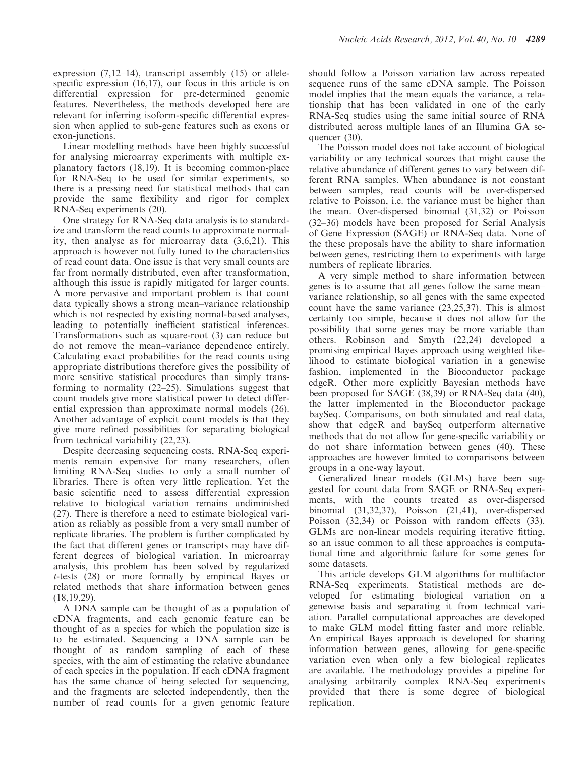expression ([7,12–14](#page-8-0)), transcript assembly [\(15](#page-8-0)) or allelespecific expression ([16,17\)](#page-8-0), our focus in this article is on differential expression for pre-determined genomic features. Nevertheless, the methods developed here are relevant for inferring isoform-specific differential expression when applied to sub-gene features such as exons or exon-junctions.

Linear modelling methods have been highly successful for analysing microarray experiments with multiple explanatory factors ([18,19](#page-9-0)). It is becoming common-place for RNA-Seq to be used for similar experiments, so there is a pressing need for statistical methods that can provide the same flexibility and rigor for complex RNA-Seq experiments ([20\)](#page-9-0).

One strategy for RNA-Seq data analysis is to standardize and transform the read counts to approximate normality, then analyse as for microarray data ([3,6](#page-8-0),[21\)](#page-9-0). This approach is however not fully tuned to the characteristics of read count data. One issue is that very small counts are far from normally distributed, even after transformation, although this issue is rapidly mitigated for larger counts. A more pervasive and important problem is that count data typically shows a strong mean–variance relationship which is not respected by existing normal-based analyses, leading to potentially inefficient statistical inferences. Transformations such as square-root ([3\)](#page-8-0) can reduce but do not remove the mean–variance dependence entirely. Calculating exact probabilities for the read counts using appropriate distributions therefore gives the possibility of more sensitive statistical procedures than simply transforming to normality ([22–25\)](#page-9-0). Simulations suggest that count models give more statistical power to detect differential expression than approximate normal models ([26\)](#page-9-0). Another advantage of explicit count models is that they give more refined possibilities for separating biological from technical variability [\(22](#page-9-0),[23\)](#page-9-0).

Despite decreasing sequencing costs, RNA-Seq experiments remain expensive for many researchers, often limiting RNA-Seq studies to only a small number of libraries. There is often very little replication. Yet the basic scientific need to assess differential expression relative to biological variation remains undiminished [\(27](#page-9-0)). There is therefore a need to estimate biological variation as reliably as possible from a very small number of replicate libraries. The problem is further complicated by the fact that different genes or transcripts may have different degrees of biological variation. In microarray analysis, this problem has been solved by regularized t-tests [\(28](#page-9-0)) or more formally by empirical Bayes or related methods that share information between genes [\(18](#page-9-0),[19,29](#page-9-0)).

A DNA sample can be thought of as a population of cDNA fragments, and each genomic feature can be thought of as a species for which the population size is to be estimated. Sequencing a DNA sample can be thought of as random sampling of each of these species, with the aim of estimating the relative abundance of each species in the population. If each cDNA fragment has the same chance of being selected for sequencing, and the fragments are selected independently, then the number of read counts for a given genomic feature should follow a Poisson variation law across repeated sequence runs of the same cDNA sample. The Poisson model implies that the mean equals the variance, a relationship that has been validated in one of the early RNA-Seq studies using the same initial source of RNA distributed across multiple lanes of an Illumina GA se-quencer [\(30](#page-9-0)).

The Poisson model does not take account of biological variability or any technical sources that might cause the relative abundance of different genes to vary between different RNA samples. When abundance is not constant between samples, read counts will be over-dispersed relative to Poisson, i.e. the variance must be higher than the mean. Over-dispersed binomial ([31,32\)](#page-9-0) or Poisson [\(32–36](#page-9-0)) models have been proposed for Serial Analysis of Gene Expression (SAGE) or RNA-Seq data. None of the these proposals have the ability to share information between genes, restricting them to experiments with large numbers of replicate libraries.

A very simple method to share information between genes is to assume that all genes follow the same mean– variance relationship, so all genes with the same expected count have the same variance ([23,25,37](#page-9-0)). This is almost certainly too simple, because it does not allow for the possibility that some genes may be more variable than others. Robinson and Smyth ([22,24](#page-9-0)) developed a promising empirical Bayes approach using weighted likelihood to estimate biological variation in a genewise fashion, implemented in the Bioconductor package edgeR. Other more explicitly Bayesian methods have been proposed for SAGE [\(38](#page-9-0),[39\)](#page-9-0) or RNA-Seq data ([40\)](#page-9-0), the latter implemented in the Bioconductor package baySeq. Comparisons, on both simulated and real data, show that edgeR and baySeq outperform alternative methods that do not allow for gene-specific variability or do not share information between genes ([40](#page-9-0)). These approaches are however limited to comparisons between groups in a one-way layout.

Generalized linear models (GLMs) have been suggested for count data from SAGE or RNA-Seq experiments, with the counts treated as over-dispersed binomial [\(31,32](#page-9-0),[37\)](#page-9-0), Poisson [\(21](#page-9-0),[41\)](#page-9-0), over-dispersed Poisson [\(32,34\)](#page-9-0) or Poisson with random effects ([33\)](#page-9-0). GLMs are non-linear models requiring iterative fitting, so an issue common to all these approaches is computational time and algorithmic failure for some genes for some datasets.

This article develops GLM algorithms for multifactor RNA-Seq experiments. Statistical methods are developed for estimating biological variation on a genewise basis and separating it from technical variation. Parallel computational approaches are developed to make GLM model fitting faster and more reliable. An empirical Bayes approach is developed for sharing information between genes, allowing for gene-specific variation even when only a few biological replicates are available. The methodology provides a pipeline for analysing arbitrarily complex RNA-Seq experiments provided that there is some degree of biological replication.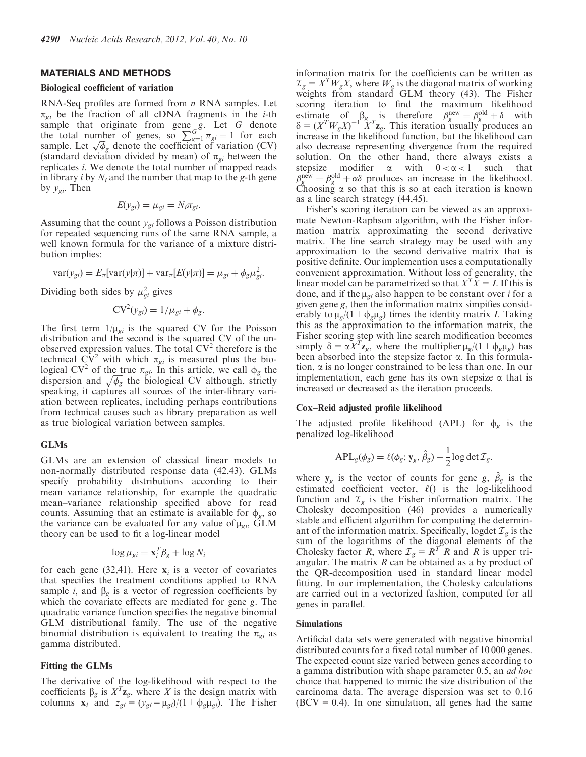## MATERIALS AND METHODS

#### Biological coefficient of variation

RNA-Seq profiles are formed from  $n$  RNA samples. Let  $\pi_{qi}$  be the fraction of all cDNA fragments in the *i*-th sample that originate from gene g. Let G denote<br>the total number of genes, so  $\sum_{g=1}^{G} \pi_{gi} = 1$  for each<br>sample. Let  $\sqrt{\phi_g}$  denote the coefficient of variation (CV) (standard deviation divided by mean) of  $\pi_{gi}$  between the replicates i. We denote the total number of mapped reads in library *i* by  $N_i$  and the number that map to the g-th gene by  $y_{gi}$ . Then

$$
E(y_{gi}) = \mu_{gi} = N_i \pi_{gi}.
$$

Assuming that the count  $y_{gi}$  follows a Poisson distribution for repeated sequencing runs of the same RNA sample, a well known formula for the variance of a mixture distribution implies:

$$
var(y_{gi}) = E_{\pi}[var(y|\pi)] + var_{\pi}[E(y|\pi)] = \mu_{gi} + \phi_{g}\mu_{gi}^{2}.
$$

Dividing both sides by  $\mu_{gi}^2$  gives

$$
CV2(ygi) = 1/\mu_{gi} + \phi_g.
$$

The first term  $1/\mu_{gi}$  is the squared CV for the Poisson distribution and the second is the squared CV of the unobserved expression values. The total  $CV<sup>2</sup>$  therefore is the technical  $\dot{C}V^2$  with which  $\pi_{gi}$  is measured plus the biological CV<sup>2</sup> of the true  $\pi_{gi}$ . In this article, we call  $\phi_g$  the dispersion and  $\sqrt{\phi_g}$  the biological CV although, strictly speaking, it captures all sources of the inter-library variation between replicates, including perhaps contributions from technical causes such as library preparation as well as true biological variation between samples.

#### GLMs

GLMs are an extension of classical linear models to non-normally distributed response data ([42,43\)](#page-9-0). GLMs specify probability distributions according to their mean–variance relationship, for example the quadratic mean–variance relationship specified above for read counts. Assuming that an estimate is available for  $\phi_{\varrho}$ , so the variance can be evaluated for any value of  $\mu_{gi}$ , GLM theory can be used to fit a log-linear model

$$
\log \mu_{gi} = \mathbf{x}_i^T \boldsymbol{\beta}_g + \log N_i
$$

for each gene ([32,41](#page-9-0)). Here  $x_i$  is a vector of covariates that specifies the treatment conditions applied to RNA sample *i*, and  $\beta_g$  is a vector of regression coefficients by which the covariate effects are mediated for gene g. The quadratic variance function specifies the negative binomial GLM distributional family. The use of the negative binomial distribution is equivalent to treating the  $\pi_{gi}$  as gamma distributed.

## Fitting the GLMs

The derivative of the log-likelihood with respect to the coefficients  $\beta_g$  is  $X^T \mathbf{z}_g$ , where X is the design matrix with columns  $\mathbf{x}_i$  and  $z_{gi} = (y_{gi} - \mu_{gi})/(1 + \phi_g \mu_{gi})$ . The Fisher information matrix for the coefficients can be written as  $I_g = X^T W_g X$ , where  $W_g$  is the diagonal matrix of working weights from standard GLM theory [\(43](#page-9-0)). The Fisher scoring iteration to find the maximum likelihood estimate of  $\beta_{g}$  is therefore  $\beta_{g}^{\text{new}} = \beta_{g}^{\text{old}} + \delta$  with  $\delta = (X^T W_g X)^{-1} X^T \mathbf{z}_g$ . This iteration usually produces an increase in the likelihood function, but the likelihood can also decrease representing divergence from the required solution. On the other hand, there always exists a stepsize modifier  $\alpha$  with  $0 < \alpha < 1$  such that  $\beta_{g}^{\text{new}} = \beta_{g}^{\text{old}} + \alpha \delta$  produces an increase in the likelihood. Choosing  $\alpha$  so that this is so at each iteration is known as a line search strategy ([44,45\)](#page-9-0).

Fisher's scoring iteration can be viewed as an approximate Newton-Raphson algorithm, with the Fisher information matrix approximating the second derivative matrix. The line search strategy may be used with any approximation to the second derivative matrix that is positive definite. Our implemention uses a computationally convenient approximation. Without loss of generality, the linear model can be parametrized so that  $X^T X = I$ . If this is done, and if the  $\mu_{gi}$  also happen to be constant over *i* for a given gene g, then the information matrix simpifies considerably to  $\mu_g/(1+\phi_g\mu_g)$  times the identity matrix *I*. Taking this as the approximation to the information matrix, the Fisher scoring step with line search modification becomes simply  $\delta = \alpha \overline{X}^T \mathbf{z}_g$ , where the multiplier  $\mu_g/(1+\phi_g\mu_g)$  has been absorbed into the stepsize factor  $\alpha$ . In this formulation,  $\alpha$  is no longer constrained to be less than one. In our implementation, each gene has its own stepsize  $\alpha$  that is increased or decreased as the iteration proceeds.

#### Cox–Reid adjusted profile likelihood

The adjusted profile likelihood (APL) for  $\phi_g$  is the penalized log-likelihood

$$
APL_g(\phi_g) = \ell(\phi_g; \mathbf{y}_g, \hat{\beta}_g) - \frac{1}{2} \log \det \mathcal{I}_g.
$$

where  $y_g$  is the vector of counts for gene g,  $\hat{\beta}_g$  is the estimated coefficient vector,  $\ell()$  is the log-likelihood function and  $\mathcal{I}_g$  is the Fisher information matrix. The Cholesky decomposition ([46\)](#page-9-0) provides a numerically stable and efficient algorithm for computing the determinant of the information matrix. Specifically, logdet  $\mathcal{I}_g$  is the sum of the logarithms of the diagonal elements of the Cholesky factor R, where  $I_g = R^T R$  and R is upper triangular. The matrix  $R$  can be obtained as a by product of the QR-decomposition used in standard linear model fitting. In our implementation, the Cholesky calculations are carried out in a vectorized fashion, computed for all genes in parallel.

## Simulations

Artificial data sets were generated with negative binomial distributed counts for a fixed total number of 10 000 genes. The expected count size varied between genes according to a gamma distribution with shape parameter 0.5, an *ad hoc* choice that happened to mimic the size distribution of the carcinoma data. The average dispersion was set to 0.16  $(BCV = 0.4)$ . In one simulation, all genes had the same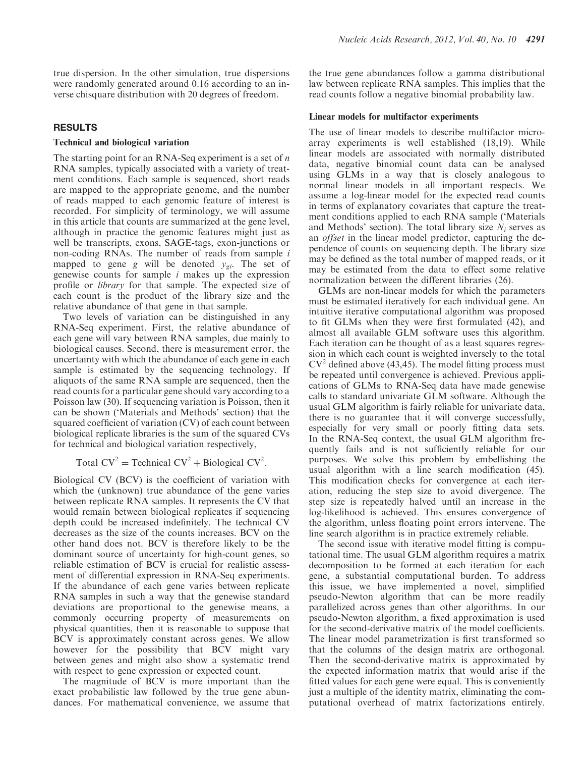true dispersion. In the other simulation, true dispersions were randomly generated around 0.16 according to an inverse chisquare distribution with 20 degrees of freedom.

## RESULTS

### Technical and biological variation

The starting point for an RNA-Seq experiment is a set of  $n$ RNA samples, typically associated with a variety of treatment conditions. Each sample is sequenced, short reads are mapped to the appropriate genome, and the number of reads mapped to each genomic feature of interest is recorded. For simplicity of terminology, we will assume in this article that counts are summarized at the gene level, although in practice the genomic features might just as well be transcripts, exons, SAGE-tags, exon-junctions or non-coding RNAs. The number of reads from sample i mapped to gene g will be denoted  $y_{gi}$ . The set of genewise counts for sample  $i$  makes up the expression profile or library for that sample. The expected size of each count is the product of the library size and the relative abundance of that gene in that sample.

Two levels of variation can be distinguished in any RNA-Seq experiment. First, the relative abundance of each gene will vary between RNA samples, due mainly to biological causes. Second, there is measurement error, the uncertainty with which the abundance of each gene in each sample is estimated by the sequencing technology. If aliquots of the same RNA sample are sequenced, then the read counts for a particular gene should vary according to a Poisson law ([30](#page-9-0)). If sequencing variation is Poisson, then it can be shown ('Materials and Methods' section) that the squared coefficient of variation (CV) of each count between biological replicate libraries is the sum of the squared CVs for technical and biological variation respectively,

# Total  $CV^2 =$  Technical  $CV^2 +$  Biological  $CV^2$ .

Biological CV (BCV) is the coefficient of variation with which the (unknown) true abundance of the gene varies between replicate RNA samples. It represents the CV that would remain between biological replicates if sequencing depth could be increased indefinitely. The technical CV decreases as the size of the counts increases. BCV on the other hand does not. BCV is therefore likely to be the dominant source of uncertainty for high-count genes, so reliable estimation of BCV is crucial for realistic assessment of differential expression in RNA-Seq experiments. If the abundance of each gene varies between replicate RNA samples in such a way that the genewise standard deviations are proportional to the genewise means, a commonly occurring property of measurements on physical quantities, then it is reasonable to suppose that BCV is approximately constant across genes. We allow however for the possibility that BCV might vary between genes and might also show a systematic trend with respect to gene expression or expected count.

The magnitude of BCV is more important than the exact probabilistic law followed by the true gene abundances. For mathematical convenience, we assume that the true gene abundances follow a gamma distributional law between replicate RNA samples. This implies that the read counts follow a negative binomial probability law.

#### Linear models for multifactor experiments

The use of linear models to describe multifactor microarray experiments is well established [\(18](#page-9-0),[19\)](#page-9-0). While linear models are associated with normally distributed data, negative binomial count data can be analysed using GLMs in a way that is closely analogous to normal linear models in all important respects. We assume a log-linear model for the expected read counts in terms of explanatory covariates that capture the treatment conditions applied to each RNA sample ('Materials and Methods' section). The total library size  $N_i$  serves as an offset in the linear model predictor, capturing the dependence of counts on sequencing depth. The library size may be defined as the total number of mapped reads, or it may be estimated from the data to effect some relative normalization between the different libraries ([26\)](#page-9-0).

GLMs are non-linear models for which the parameters must be estimated iteratively for each individual gene. An intuitive iterative computational algorithm was proposed to fit GLMs when they were first formulated [\(42](#page-9-0)), and almost all available GLM software uses this algorithm. Each iteration can be thought of as a least squares regression in which each count is weighted inversely to the total  $CV<sup>2</sup>$  defined above ([43,45\)](#page-9-0). The model fitting process must be repeated until convergence is achieved. Previous applications of GLMs to RNA-Seq data have made genewise calls to standard univariate GLM software. Although the usual GLM algorithm is fairly reliable for univariate data, there is no guarantee that it will converge successfully, especially for very small or poorly fitting data sets. In the RNA-Seq context, the usual GLM algorithm frequently fails and is not sufficiently reliable for our purposes. We solve this problem by embellishing the usual algorithm with a line search modification ([45\)](#page-9-0). This modification checks for convergence at each iteration, reducing the step size to avoid divergence. The step size is repeatedly halved until an increase in the log-likelihood is achieved. This ensures convergence of the algorithm, unless floating point errors intervene. The line search algorithm is in practice extremely reliable.

The second issue with iterative model fitting is computational time. The usual GLM algorithm requires a matrix decomposition to be formed at each iteration for each gene, a substantial computational burden. To address this issue, we have implemented a novel, simplified pseudo-Newton algorithm that can be more readily parallelized across genes than other algorithms. In our pseudo-Newton algorithm, a fixed approximation is used for the second-derivative matrix of the model coefficients. The linear model parametrization is first transformed so that the columns of the design matrix are orthogonal. Then the second-derivative matrix is approximated by the expected information matrix that would arise if the fitted values for each gene were equal. This is conveniently just a multiple of the identity matrix, eliminating the computational overhead of matrix factorizations entirely.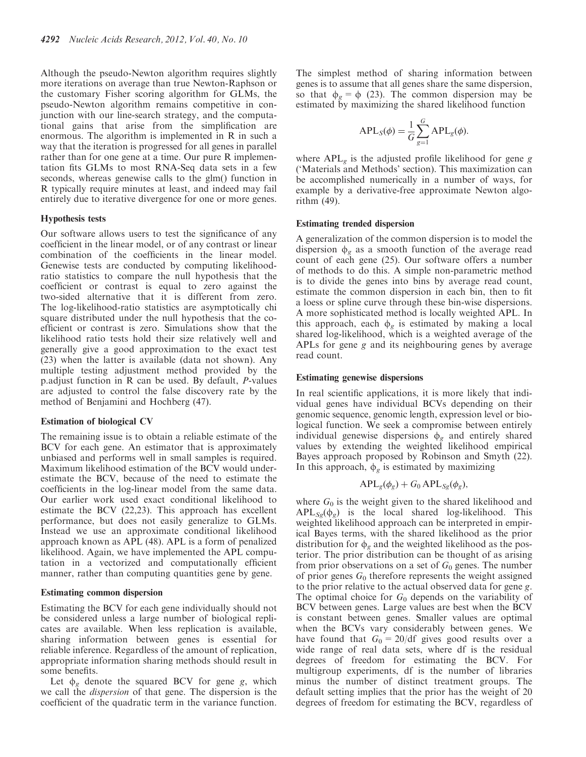Although the pseudo-Newton algorithm requires slightly more iterations on average than true Newton-Raphson or the customary Fisher scoring algorithm for GLMs, the pseudo-Newton algorithm remains competitive in conjunction with our line-search strategy, and the computational gains that arise from the simplification are enormous. The algorithm is implemented in R in such a way that the iteration is progressed for all genes in parallel rather than for one gene at a time. Our pure R implementation fits GLMs to most RNA-Seq data sets in a few seconds, whereas genewise calls to the glm() function in R typically require minutes at least, and indeed may fail entirely due to iterative divergence for one or more genes.

## Hypothesis tests

Our software allows users to test the significance of any coefficient in the linear model, or of any contrast or linear combination of the coefficients in the linear model. Genewise tests are conducted by computing likelihoodratio statistics to compare the null hypothesis that the coefficient or contrast is equal to zero against the two-sided alternative that it is different from zero. The log-likelihood-ratio statistics are asymptotically chi square distributed under the null hypothesis that the coefficient or contrast is zero. Simulations show that the likelihood ratio tests hold their size relatively well and generally give a good approximation to the exact test ([23\)](#page-9-0) when the latter is available (data not shown). Any multiple testing adjustment method provided by the p.adjust function in R can be used. By default, P-values are adjusted to control the false discovery rate by the method of Benjamini and Hochberg [\(47](#page-9-0)).

#### Estimation of biological CV

The remaining issue is to obtain a reliable estimate of the BCV for each gene. An estimator that is approximately unbiased and performs well in small samples is required. Maximum likelihood estimation of the BCV would underestimate the BCV, because of the need to estimate the coefficients in the log-linear model from the same data. Our earlier work used exact conditional likelihood to estimate the BCV [\(22,23](#page-9-0)). This approach has excellent performance, but does not easily generalize to GLMs. Instead we use an approximate conditional likelihood approach known as APL [\(48](#page-9-0)). APL is a form of penalized likelihood. Again, we have implemented the APL computation in a vectorized and computationally efficient manner, rather than computing quantities gene by gene.

## Estimating common dispersion

Estimating the BCV for each gene individually should not be considered unless a large number of biological replicates are available. When less replication is available, sharing information between genes is essential for reliable inference. Regardless of the amount of replication, appropriate information sharing methods should result in some benefits.

Let  $\phi_g$  denote the squared BCV for gene g, which we call the dispersion of that gene. The dispersion is the coefficient of the quadratic term in the variance function.

The simplest method of sharing information between genes is to assume that all genes share the same dispersion, so that  $\phi_{\nu}=\phi$  ([23\)](#page-9-0). The common dispersion may be estimated by maximizing the shared likelihood function

$$
APL_S(\phi) = \frac{1}{G} \sum_{g=1}^{G} APL_g(\phi).
$$

where  $APL<sub>g</sub>$  is the adjusted profile likelihood for gene g ('Materials and Methods' section). This maximization can be accomplished numerically in a number of ways, for example by a derivative-free approximate Newton algorithm ([49\)](#page-9-0).

#### Estimating trended dispersion

A generalization of the common dispersion is to model the dispersion  $\phi_g$  as a smooth function of the average read count of each gene [\(25](#page-9-0)). Our software offers a number of methods to do this. A simple non-parametric method is to divide the genes into bins by average read count, estimate the common dispersion in each bin, then to fit a loess or spline curve through these bin-wise dispersions. A more sophisticated method is locally weighted APL. In this approach, each  $\phi_{g}$  is estimated by making a local shared log-likelihood, which is a weighted average of the APLs for gene g and its neighbouring genes by average read count.

#### Estimating genewise dispersions

In real scientific applications, it is more likely that individual genes have individual BCVs depending on their genomic sequence, genomic length, expression level or biological function. We seek a compromise between entirely individual genewise dispersions  $\phi_g$  and entirely shared values by extending the weighted likelihood empirical Bayes approach proposed by Robinson and Smyth ([22](#page-9-0)). In this approach,  $\phi_{g}$  is estimated by maximizing

$$
APL_g(\phi_g) + G_0 APL_{Sg}(\phi_g),
$$

where  $G_0$  is the weight given to the shared likelihood and  $APL_{Sg}(\phi_{g})$  is the local shared log-likelihood. This weighted likelihood approach can be interpreted in empirical Bayes terms, with the shared likelihood as the prior distribution for  $\phi_g$  and the weighted likelihood as the posterior. The prior distribution can be thought of as arising from prior observations on a set of  $G_0$  genes. The number of prior genes  $G_0$  therefore represents the weight assigned to the prior relative to the actual observed data for gene g. The optimal choice for  $G_0$  depends on the variability of BCV between genes. Large values are best when the BCV is constant between genes. Smaller values are optimal when the BCVs vary considerably between genes. We have found that  $G_0 = 20/df$  gives good results over a wide range of real data sets, where df is the residual degrees of freedom for estimating the BCV. For multigroup experiments, df is the number of libraries minus the number of distinct treatment groups. The default setting implies that the prior has the weight of 20 degrees of freedom for estimating the BCV, regardless of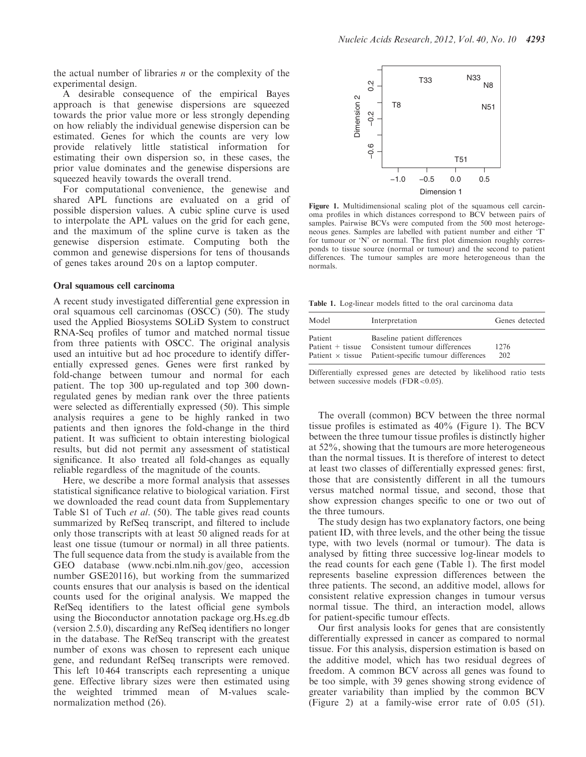<span id="page-5-0"></span>the actual number of libraries  $n$  or the complexity of the experimental design.

A desirable consequence of the empirical Bayes approach is that genewise dispersions are squeezed towards the prior value more or less strongly depending on how reliably the individual genewise dispersion can be estimated. Genes for which the counts are very low provide relatively little statistical information for estimating their own dispersion so, in these cases, the prior value dominates and the genewise dispersions are squeezed heavily towards the overall trend.

For computational convenience, the genewise and shared APL functions are evaluated on a grid of possible dispersion values. A cubic spline curve is used to interpolate the APL values on the grid for each gene, and the maximum of the spline curve is taken as the genewise dispersion estimate. Computing both the common and genewise dispersions for tens of thousands of genes takes around 20 s on a laptop computer.

#### Oral squamous cell carcinoma

A recent study investigated differential gene expression in oral squamous cell carcinomas (OSCC) [\(50](#page-9-0)). The study used the Applied Biosystems SOLiD System to construct RNA-Seq profiles of tumor and matched normal tissue from three patients with OSCC. The original analysis used an intuitive but ad hoc procedure to identify differentially expressed genes. Genes were first ranked by fold-change between tumour and normal for each patient. The top 300 up-regulated and top 300 downregulated genes by median rank over the three patients were selected as differentially expressed ([50\)](#page-9-0). This simple analysis requires a gene to be highly ranked in two patients and then ignores the fold-change in the third patient. It was sufficient to obtain interesting biological results, but did not permit any assessment of statistical significance. It also treated all fold-changes as equally reliable regardless of the magnitude of the counts.

Here, we describe a more formal analysis that assesses statistical significance relative to biological variation. First we downloaded the read count data from [Supplementary](http://nar.oxfordjournals.org/cgi/content/full/gks042/DC1) [Table S1](http://nar.oxfordjournals.org/cgi/content/full/gks042/DC1) of Tuch *et al.* [\(50](#page-9-0)). The table gives read counts summarized by RefSeq transcript, and filtered to include only those transcripts with at least 50 aligned reads for at least one tissue (tumour or normal) in all three patients. The full sequence data from the study is available from the GEO database [\(www.ncbi.nlm.nih.gov/geo,](www.ncbi.nlm.nih.gov/geo) accession number GSE20116), but working from the summarized counts ensures that our analysis is based on the identical counts used for the original analysis. We mapped the RefSeq identifiers to the latest official gene symbols using the Bioconductor annotation package org.Hs.eg.db (version 2.5.0), discarding any RefSeq identifiers no longer in the database. The RefSeq transcript with the greatest number of exons was chosen to represent each unique gene, and redundant RefSeq transcripts were removed. This left 10 464 transcripts each representing a unique gene. Effective library sizes were then estimated using the weighted trimmed mean of M-values scalenormalization method ([26\)](#page-9-0).



Figure 1. Multidimensional scaling plot of the squamous cell carcinoma profiles in which distances correspond to BCV between pairs of samples. Pairwise BCVs were computed from the 500 most heterogeneous genes. Samples are labelled with patient number and either 'T' for tumour or 'N' or normal. The first plot dimension roughly corresponds to tissue source (normal or tumour) and the second to patient differences. The tumour samples are more heterogeneous than the normals.

Table 1. Log-linear models fitted to the oral carcinoma data

| Model                         | Interpretation                                                                                                               | Genes detected |
|-------------------------------|------------------------------------------------------------------------------------------------------------------------------|----------------|
| Patient<br>Patient $+$ tissue | Baseline patient differences<br>Consistent tumour differences<br>Patient $\times$ tissue Patient-specific tumour differences | 1276<br>202    |

Differentially expressed genes are detected by likelihood ratio tests between successive models (FDR<0.05).

The overall (common) BCV between the three normal tissue profiles is estimated as 40% (Figure 1). The BCV between the three tumour tissue profiles is distinctly higher at 52%, showing that the tumours are more heterogeneous than the normal tissues. It is therefore of interest to detect at least two classes of differentially expressed genes: first, those that are consistently different in all the tumours versus matched normal tissue, and second, those that show expression changes specific to one or two out of the three tumours.

The study design has two explanatory factors, one being patient ID, with three levels, and the other being the tissue type, with two levels (normal or tumour). The data is analysed by fitting three successive log-linear models to the read counts for each gene (Table 1). The first model represents baseline expression differences between the three patients. The second, an additive model, allows for consistent relative expression changes in tumour versus normal tissue. The third, an interaction model, allows for patient-specific tumour effects.

Our first analysis looks for genes that are consistently differentially expressed in cancer as compared to normal tissue. For this analysis, dispersion estimation is based on the additive model, which has two residual degrees of freedom. A common BCV across all genes was found to be too simple, with 39 genes showing strong evidence of greater variability than implied by the common BCV [\(Figure 2](#page-6-0)) at a family-wise error rate of 0.05 ([51\)](#page-9-0).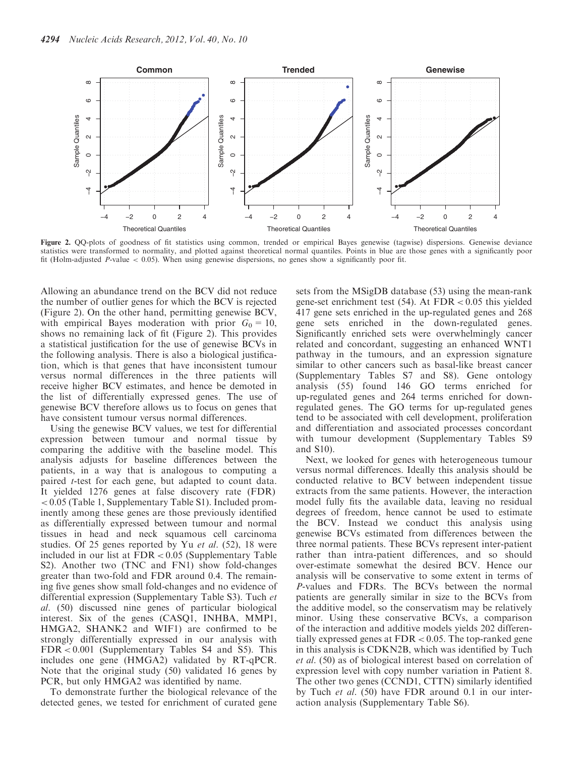<span id="page-6-0"></span>

Figure 2. QQ-plots of goodness of fit statistics using common, trended or empirical Bayes genewise (tagwise) dispersions. Genewise deviance statistics were transformed to normality, and plotted against theoretical normal quantiles. Points in blue are those genes with a significantly poor fit (Holm-adjusted P-value  $< 0.05$ ). When using genewise dispersions, no genes show a significantly poor fit.

Allowing an abundance trend on the BCV did not reduce the number of outlier genes for which the BCV is rejected (Figure 2). On the other hand, permitting genewise BCV, with empirical Bayes moderation with prior  $G_0 = 10$ , shows no remaining lack of fit (Figure 2). This provides a statistical justification for the use of genewise BCVs in the following analysis. There is also a biological justification, which is that genes that have inconsistent tumour versus normal differences in the three patients will receive higher BCV estimates, and hence be demoted in the list of differentially expressed genes. The use of genewise BCV therefore allows us to focus on genes that have consistent tumour versus normal differences.

Using the genewise BCV values, we test for differential expression between tumour and normal tissue by comparing the additive with the baseline model. This analysis adjusts for baseline differences between the patients, in a way that is analogous to computing a paired t-test for each gene, but adapted to count data. It yielded 1276 genes at false discovery rate (FDR) < 0.05 [\(Table 1,](#page-5-0) [Supplementary Table S1](http://nar.oxfordjournals.org/cgi/content/full/gks042/DC1)). Included prominently among these genes are those previously identified as differentially expressed between tumour and normal tissues in head and neck squamous cell carcinoma studies. Of 25 genes reported by Yu et al. ([52\)](#page-9-0), 18 were included in our list at FDR < 0.05 ([Supplementary Table](http://nar.oxfordjournals.org/cgi/content/full/gks042/DC1) [S2\)](http://nar.oxfordjournals.org/cgi/content/full/gks042/DC1). Another two (TNC and FN1) show fold-changes greater than two-fold and FDR around 0.4. The remaining five genes show small fold-changes and no evidence of differential expression ([Supplementary Table S3\)](http://nar.oxfordjournals.org/cgi/content/full/gks042/DC1). Tuch et al. ([50\)](#page-9-0) discussed nine genes of particular biological interest. Six of the genes (CASQ1, INHBA, MMP1, HMGA2, SHANK2 and WIF1) are confirmed to be strongly differentially expressed in our analysis with FDR < 0.001 ([Supplementary Tables S4 and S5](http://nar.oxfordjournals.org/cgi/content/full/gks042/DC1)). This includes one gene (HMGA2) validated by RT-qPCR. Note that the original study ([50\)](#page-9-0) validated 16 genes by PCR, but only HMGA2 was identified by name.

To demonstrate further the biological relevance of the detected genes, we tested for enrichment of curated gene sets from the MSigDB database [\(53](#page-9-0)) using the mean-rank gene-set enrichment test  $(54)$  $(54)$ . At FDR < 0.05 this yielded 417 gene sets enriched in the up-regulated genes and 268 gene sets enriched in the down-regulated genes. Significantly enriched sets were overwhelmingly cancer related and concordant, suggesting an enhanced WNT1 pathway in the tumours, and an expression signature similar to other cancers such as basal-like breast cancer ([Supplementary Tables S7 and S8](http://nar.oxfordjournals.org/cgi/content/full/gks042/DC1)). Gene ontology analysis [\(55](#page-9-0)) found 146 GO terms enriched for up-regulated genes and 264 terms enriched for downregulated genes. The GO terms for up-regulated genes tend to be associated with cell development, proliferation and differentiation and associated processes concordant with tumour development [\(Supplementary Tables S9](http://nar.oxfordjournals.org/cgi/content/full/gks042/DC1) [and S10](http://nar.oxfordjournals.org/cgi/content/full/gks042/DC1)).

Next, we looked for genes with heterogeneous tumour versus normal differences. Ideally this analysis should be conducted relative to BCV between independent tissue extracts from the same patients. However, the interaction model fully fits the available data, leaving no residual degrees of freedom, hence cannot be used to estimate the BCV. Instead we conduct this analysis using genewise BCVs estimated from differences between the three normal patients. These BCVs represent inter-patient rather than intra-patient differences, and so should over-estimate somewhat the desired BCV. Hence our analysis will be conservative to some extent in terms of P-values and FDRs. The BCVs between the normal patients are generally similar in size to the BCVs from the additive model, so the conservatism may be relatively minor. Using these conservative BCVs, a comparison of the interaction and additive models yields 202 differentially expressed genes at FDR < 0.05. The top-ranked gene in this analysis is CDKN2B, which was identified by Tuch et al. [\(50](#page-9-0)) as of biological interest based on correlation of expression level with copy number variation in Patient 8. The other two genes (CCND1, CTTN) similarly identified by Tuch et al. ([50\)](#page-9-0) have FDR around 0.1 in our interaction analysis [\(Supplementary Table S6\)](http://nar.oxfordjournals.org/cgi/content/full/gks042/DC1).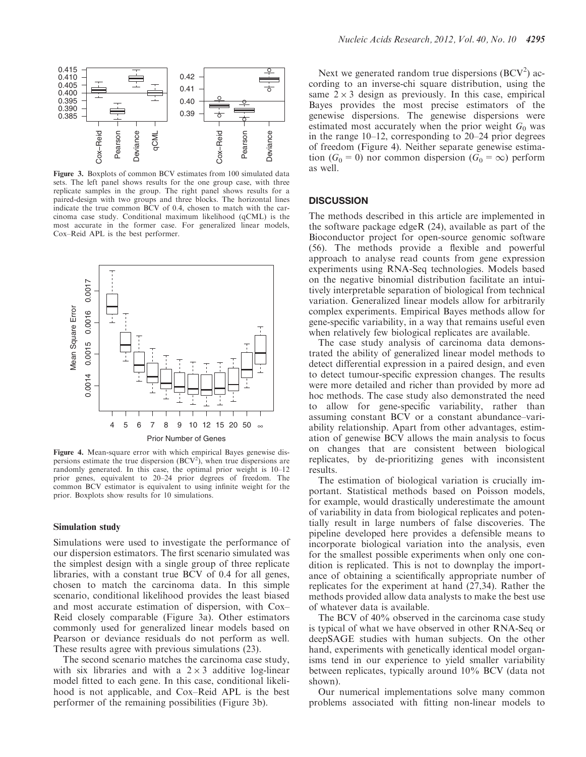

Figure 3. Boxplots of common BCV estimates from 100 simulated data sets. The left panel shows results for the one group case, with three replicate samples in the group. The right panel shows results for a paired-design with two groups and three blocks. The horizontal lines indicate the true common BCV of 0.4, chosen to match with the carcinoma case study. Conditional maximum likelihood (qCML) is the most accurate in the former case. For generalized linear models, Cox–Reid APL is the best performer.



Figure 4. Mean-square error with which empirical Bayes genewise dispersions estimate the true dispersion  $(BCV^2)$ , when true dispersions are randomly generated. In this case, the optimal prior weight is 10–12 prior genes, equivalent to 20–24 prior degrees of freedom. The common BCV estimator is equivalent to using infinite weight for the prior. Boxplots show results for 10 simulations.

#### Simulation study

Simulations were used to investigate the performance of our dispersion estimators. The first scenario simulated was the simplest design with a single group of three replicate libraries, with a constant true BCV of 0.4 for all genes, chosen to match the carcinoma data. In this simple scenario, conditional likelihood provides the least biased and most accurate estimation of dispersion, with Cox– Reid closely comparable (Figure 3a). Other estimators commonly used for generalized linear models based on Pearson or deviance residuals do not perform as well. These results agree with previous simulations [\(23](#page-9-0)).

The second scenario matches the carcinoma case study, with six libraries and with a  $2 \times 3$  additive log-linear model fitted to each gene. In this case, conditional likelihood is not applicable, and Cox–Reid APL is the best performer of the remaining possibilities (Figure 3b).

Next we generated random true dispersions  $(BCV<sup>2</sup>)$  according to an inverse-chi square distribution, using the same  $2 \times 3$  design as previously. In this case, empirical Bayes provides the most precise estimators of the genewise dispersions. The genewise dispersions were estimated most accurately when the prior weight  $G_0$  was in the range 10–12, corresponding to 20–24 prior degrees of freedom (Figure 4). Neither separate genewise estimation ( $G_0 = 0$ ) nor common dispersion ( $G_0 = \infty$ ) perform as well.

#### **DISCUSSION**

The methods described in this article are implemented in the software package edgeR ([24\)](#page-9-0), available as part of the Bioconductor project for open-source genomic software [\(56](#page-9-0)). The methods provide a flexible and powerful approach to analyse read counts from gene expression experiments using RNA-Seq technologies. Models based on the negative binomial distribution facilitate an intuitively interpretable separation of biological from technical variation. Generalized linear models allow for arbitrarily complex experiments. Empirical Bayes methods allow for gene-specific variability, in a way that remains useful even when relatively few biological replicates are available.

The case study analysis of carcinoma data demonstrated the ability of generalized linear model methods to detect differential expression in a paired design, and even to detect tumour-specific expression changes. The results were more detailed and richer than provided by more ad hoc methods. The case study also demonstrated the need to allow for gene-specific variability, rather than assuming constant BCV or a constant abundance–variability relationship. Apart from other advantages, estimation of genewise BCV allows the main analysis to focus on changes that are consistent between biological replicates, by de-prioritizing genes with inconsistent results.

The estimation of biological variation is crucially important. Statistical methods based on Poisson models, for example, would drastically underestimate the amount of variability in data from biological replicates and potentially result in large numbers of false discoveries. The pipeline developed here provides a defensible means to incorporate biological variation into the analysis, even for the smallest possible experiments when only one condition is replicated. This is not to downplay the importance of obtaining a scientifically appropriate number of replicates for the experiment at hand ([27,34\)](#page-9-0). Rather the methods provided allow data analysts to make the best use of whatever data is available.

The BCV of 40% observed in the carcinoma case study is typical of what we have observed in other RNA-Seq or deepSAGE studies with human subjects. On the other hand, experiments with genetically identical model organisms tend in our experience to yield smaller variability between replicates, typically around 10% BCV (data not shown).

Our numerical implementations solve many common problems associated with fitting non-linear models to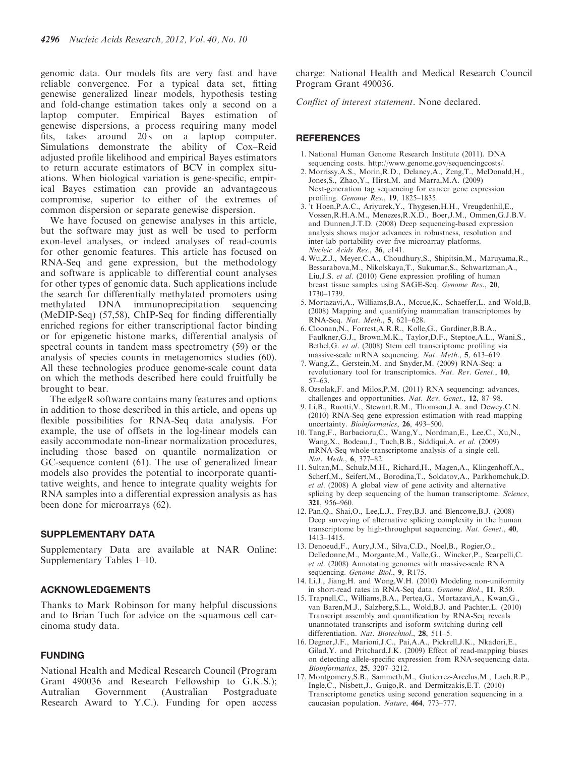<span id="page-8-0"></span>genomic data. Our models fits are very fast and have reliable convergence. For a typical data set, fitting genewise generalized linear models, hypothesis testing and fold-change estimation takes only a second on a laptop computer. Empirical Bayes estimation of genewise dispersions, a process requiring many model fits, takes around 20s on a laptop computer. Simulations demonstrate the ability of Cox–Reid adjusted profile likelihood and empirical Bayes estimators to return accurate estimators of BCV in complex situations. When biological variation is gene-specific, empirical Bayes estimation can provide an advantageous compromise, superior to either of the extremes of common dispersion or separate genewise dispersion.

We have focused on genewise analyses in this article, but the software may just as well be used to perform exon-level analyses, or indeed analyses of read-counts for other genomic features. This article has focused on RNA-Seq and gene expression, but the methodology and software is applicable to differential count analyses for other types of genomic data. Such applications include the search for differentially methylated promoters using methylated DNA immunoprecipitation sequencing (MeDIP-Seq) [\(57](#page-9-0),[58\)](#page-9-0), ChIP-Seq for finding differentially enriched regions for either transcriptional factor binding or for epigenetic histone marks, differential analysis of spectral counts in tandem mass spectrometry [\(59](#page-9-0)) or the analysis of species counts in metagenomics studies ([60](#page-9-0)). All these technologies produce genome-scale count data on which the methods described here could fruitfully be brought to bear.

The edgeR software contains many features and options in addition to those described in this article, and opens up flexible possibilities for RNA-Seq data analysis. For example, the use of offsets in the log-linear models can easily accommodate non-linear normalization procedures, including those based on quantile normalization or GC-sequence content [\(61](#page-9-0)). The use of generalized linear models also provides the potential to incorporate quantitative weights, and hence to integrate quality weights for RNA samples into a differential expression analysis as has been done for microarrays [\(62](#page-9-0)).

## SUPPLEMENTARY DATA

[Supplementary Data](http://nar.oxfordjournals.org/cgi/content/full/gks042/DC1) are available at NAR Online: Supplementary Tables 1–10.

## ACKNOWLEDGEMENTS

Thanks to Mark Robinson for many helpful discussions and to Brian Tuch for advice on the squamous cell carcinoma study data.

## FUNDING

National Health and Medical Research Council (Program Grant 490036 and Research Fellowship to G.K.S.); Autralian Government (Australian Postgraduate Research Award to Y.C.). Funding for open access

charge: National Health and Medical Research Council Program Grant 490036.

Conflict of interest statement. None declared.

## **REFERENCES**

- 1. National Human Genome Research Institute (2011). DNA sequencing costs. [http://www.genome.gov/sequencingcosts/.](XPath error Undefined namespace prefix)
- 2. Morrissy,A.S., Morin,R.D., Delaney,A., Zeng,T., McDonald,H., Jones,S., Zhao,Y., Hirst,M. and Marra,M.A. (2009) Next-generation tag sequencing for cancer gene expression profiling. Genome Res., 19, 1825–1835.
- 3. 't Hoen,P.A.C., Ariyurek,Y., Thygesen,H.H., Vreugdenhil,E., Vossen,R.H.A.M., Menezes,R.X.D., Boer,J.M., Ommen,G.J.B.V. and Dunnen,J.T.D. (2008) Deep sequencing-based expression analysis shows major advances in robustness, resolution and inter-lab portability over five microarray platforms. Nucleic Acids Res., 36, e141.
- 4. Wu,Z.J., Meyer,C.A., Choudhury,S., Shipitsin,M., Maruyama,R., Bessarabova,M., Nikolskaya,T., Sukumar,S., Schwartzman,A., Liu,J.S. et al. (2010) Gene expression profiling of human breast tissue samples using SAGE-Seq. Genome Res., 20, 1730–1739.
- 5. Mortazavi,A., Williams,B.A., Mccue,K., Schaeffer,L. and Wold,B. (2008) Mapping and quantifying mammalian transcriptomes by RNA-Seq. Nat. Meth., 5, 621–628.
- 6. Cloonan,N., Forrest,A.R.R., Kolle,G., Gardiner,B.B.A., Faulkner,G.J., Brown,M.K., Taylor,D.F., Steptoe,A.L., Wani,S., Bethel,G. et al. (2008) Stem cell transcriptome profiling via massive-scale mRNA sequencing. Nat. Meth., 5, 613-619.
- 7. Wang,Z., Gerstein,M. and Snyder,M. (2009) RNA-Seq: a revolutionary tool for transcriptomics. Nat. Rev. Genet., 10, 57–63.
- 8. Ozsolak,F. and Milos,P.M. (2011) RNA sequencing: advances, challenges and opportunities. Nat. Rev. Genet., 12, 87-98.
- 9. Li,B., Ruotti,V., Stewart,R.M., Thomson,J.A. and Dewey,C.N. (2010) RNA-Seq gene expression estimation with read mapping uncertainty. Bioinformatics, 26, 493-500.
- 10. Tang,F., Barbacioru,C., Wang,Y., Nordman,E., Lee,C., Xu,N., Wang,X., Bodeau,J., Tuch,B.B., Siddiqui,A. et al. (2009) mRNA-Seq whole-transcriptome analysis of a single cell. Nat. Meth., 6, 377–82.
- 11. Sultan,M., Schulz,M.H., Richard,H., Magen,A., Klingenhoff,A., Scherf,M., Seifert,M., Borodina,T., Soldatov,A., Parkhomchuk,D. et al. (2008) A global view of gene activity and alternative splicing by deep sequencing of the human transcriptome. Science, 321, 956–960.
- 12. Pan,Q., Shai,O., Lee,L.J., Frey,B.J. and Blencowe,B.J. (2008) Deep surveying of alternative splicing complexity in the human transcriptome by high-throughput sequencing. Nat. Genet., 40, 1413–1415.
- 13. Denoeud,F., Aury,J.M., Silva,C.D., Noel,B., Rogier,O., Delledonne,M., Morgante,M., Valle,G., Wincker,P., Scarpelli,C. et al. (2008) Annotating genomes with massive-scale RNA sequencing. Genome Biol., 9, R175.
- 14. Li,J., Jiang,H. and Wong,W.H. (2010) Modeling non-uniformity in short-read rates in RNA-Seq data. Genome Biol., 11, R50.
- 15. Trapnell,C., Williams,B.A., Pertea,G., Mortazavi,A., Kwan,G., van Baren,M.J., Salzberg,S.L., Wold,B.J. and Pachter,L. (2010) Transcript assembly and quantification by RNA-Seq reveals unannotated transcripts and isoform switching during cell differentiation. Nat. Biotechnol., 28, 511-5.
- 16. Degner,J.F., Marioni,J.C., Pai,A.A., Pickrell,J.K., Nkadori,E., Gilad,Y. and Pritchard,J.K. (2009) Effect of read-mapping biases on detecting allele-specific expression from RNA-sequencing data. Bioinformatics, 25, 3207–3212.
- 17. Montgomery,S.B., Sammeth,M., Gutierrez-Arcelus,M., Lach,R.P., Ingle,C., Nisbett,J., Guigo,R. and Dermitzakis,E.T. (2010) Transcriptome genetics using second generation sequencing in a caucasian population. Nature, 464, 773–777.